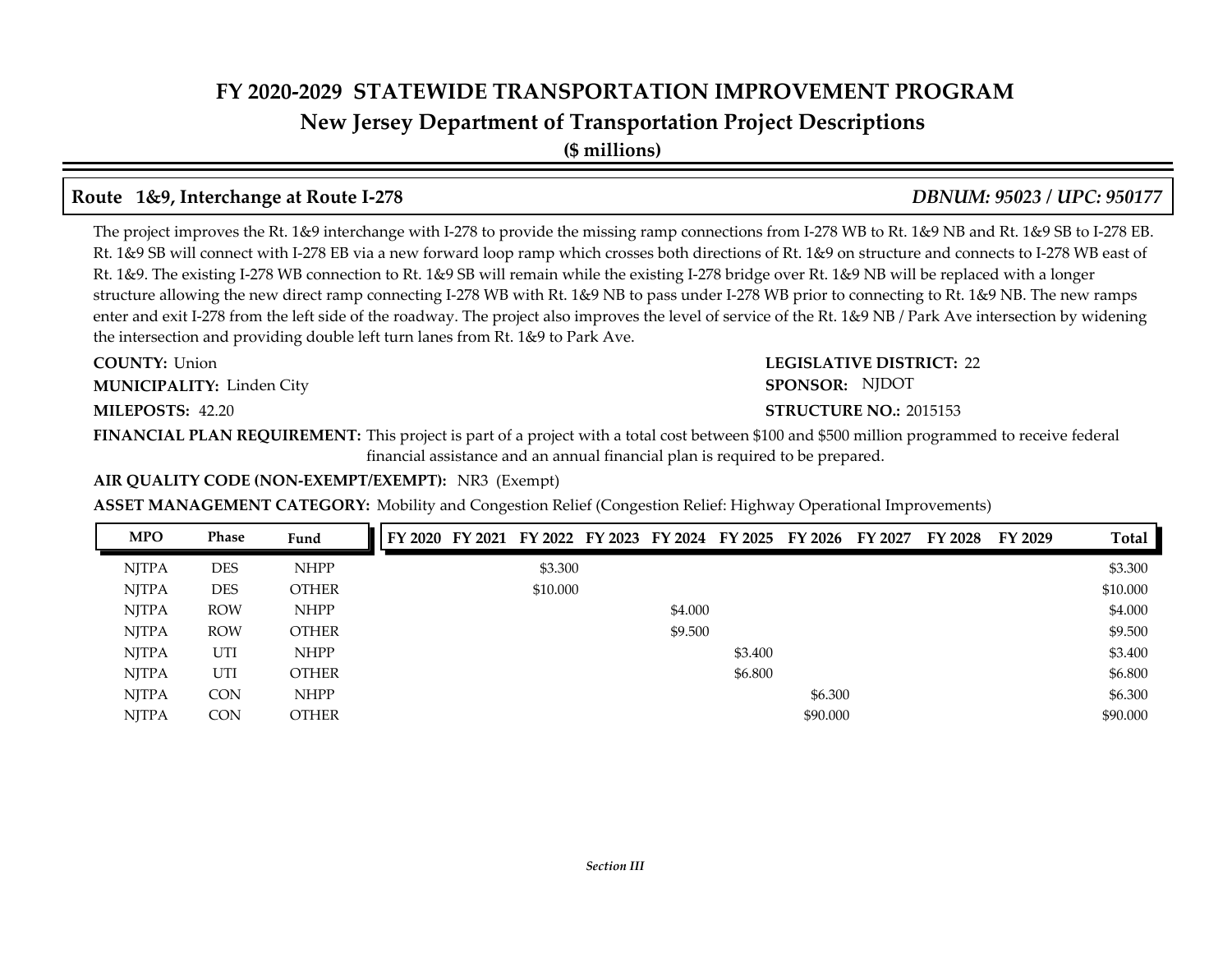**New Jersey Department of Transportation Project Descriptions**

**(\$ millions)**

## **Route 1&9, Interchange at Route I-278** *DBNUM: 95023 / UPC: 950177*

The project improves the Rt. 1&9 interchange with I-278 to provide the missing ramp connections from I-278 WB to Rt. 1&9 NB and Rt. 1&9 SB to I-278 EB. Rt. 1&9 SB will connect with I-278 EB via a new forward loop ramp which crosses both directions of Rt. 1&9 on structure and connects to I-278 WB east of Rt. 1&9. The existing I-278 WB connection to Rt. 1&9 SB will remain while the existing I-278 bridge over Rt. 1&9 NB will be replaced with a longer structure allowing the new direct ramp connecting I-278 WB with Rt. 1&9 NB to pass under I-278 WB prior to connecting to Rt. 1&9 NB. The new ramps enter and exit I-278 from the left side of the roadway. The project also improves the level of service of the Rt. 1&9 NB / Park Ave intersection by widening the intersection and providing double left turn lanes from Rt. 1&9 to Park Ave.

**COUNTY:** Union **MUNICIPALITY:** Linden City

#### **LEGISLATIVE DISTRICT:** 22 **SPONSOR:** NJDOT **MILEPOSTS: STRUCTURE NO.:** 42.20 **STRUCTURE NO.: 2015153**

**FINANCIAL PLAN REQUIREMENT:** This project is part of a project with a total cost between \$100 and \$500 million programmed to receive federal financial assistance and an annual financial plan is required to be prepared.

#### **AIR QUALITY CODE (NON-EXEMPT/EXEMPT):** NR3 (Exempt)

#### **ASSET MANAGEMENT CATEGORY:** Mobility and Congestion Relief (Congestion Relief: Highway Operational Improvements)

| <b>MPO</b>   | <b>Phase</b> | Fund         | FY 2020 | FY 2021 |          | FY 2022 FY 2023 FY 2024 | FY 2025 | FY 2026  | FY 2027 | FY 2028 | FY 2029 | Total    |
|--------------|--------------|--------------|---------|---------|----------|-------------------------|---------|----------|---------|---------|---------|----------|
| <b>NJTPA</b> | <b>DES</b>   | <b>NHPP</b>  |         |         | \$3.300  |                         |         |          |         |         |         | \$3.300  |
| <b>NITPA</b> | <b>DES</b>   | <b>OTHER</b> |         |         | \$10.000 |                         |         |          |         |         |         | \$10.000 |
| <b>NJTPA</b> | <b>ROW</b>   | <b>NHPP</b>  |         |         |          | \$4.000                 |         |          |         |         |         | \$4.000  |
| <b>NJTPA</b> | <b>ROW</b>   | <b>OTHER</b> |         |         |          | \$9.500                 |         |          |         |         |         | \$9.500  |
| <b>NJTPA</b> | UTI          | <b>NHPP</b>  |         |         |          |                         | \$3.400 |          |         |         |         | \$3.400  |
| <b>NJTPA</b> | UTI          | <b>OTHER</b> |         |         |          |                         | \$6.800 |          |         |         |         | \$6.800  |
| <b>NJTPA</b> | <b>CON</b>   | <b>NHPP</b>  |         |         |          |                         |         | \$6.300  |         |         |         | \$6.300  |
| <b>NITPA</b> | <b>CON</b>   | <b>OTHER</b> |         |         |          |                         |         | \$90.000 |         |         |         | \$90,000 |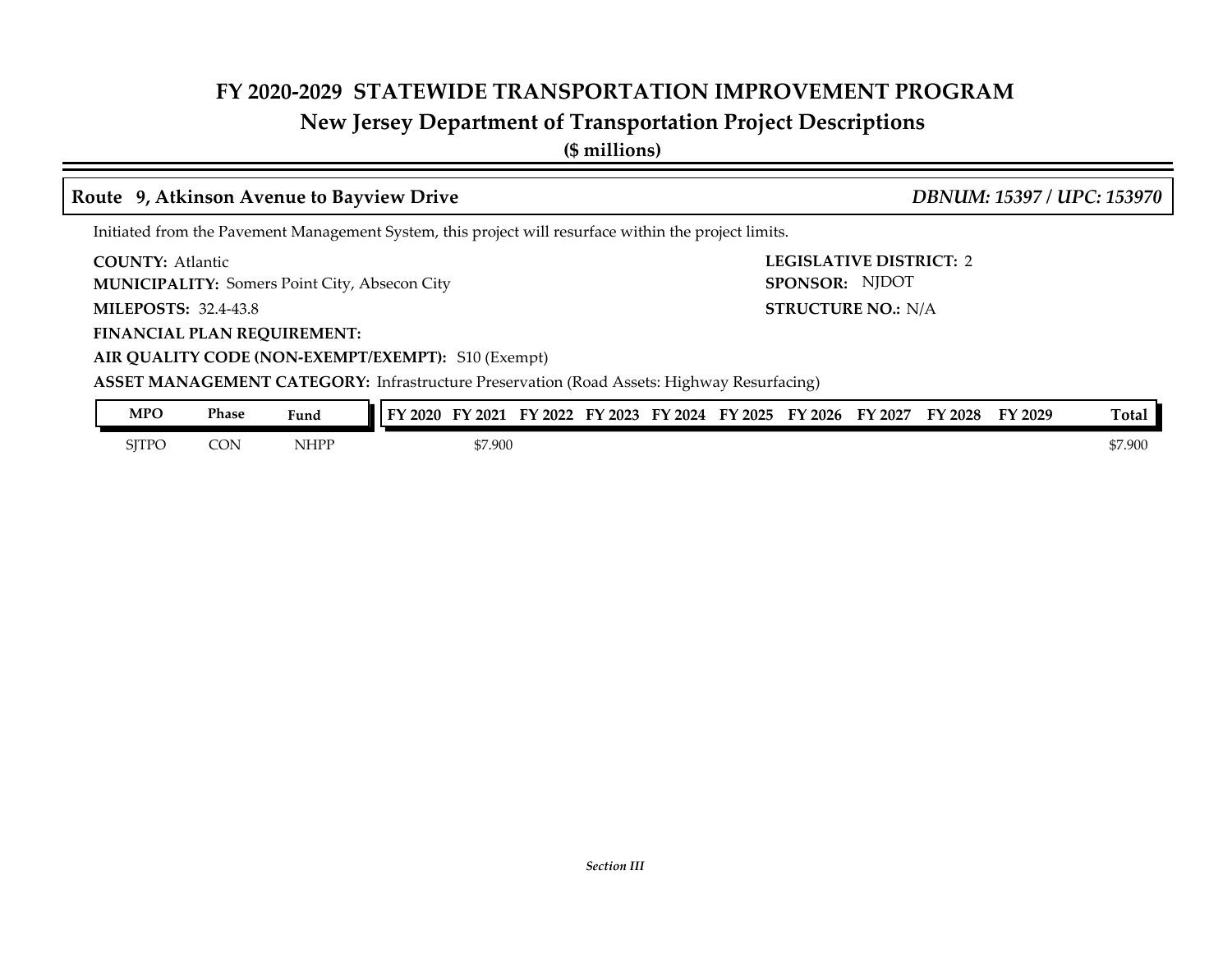# **New Jersey Department of Transportation Project Descriptions**

**(\$ millions)**

#### **Route 9, Atkinson Avenue to Bayview Drive** *DBNUM: 15397 / UPC: 153970*

Initiated from the Pavement Management System, this project will resurface within the project limits.

**COUNTY:** Atlantic

**MUNICIPALITY:** Somers Point City, Absecon City

**MILEPOSTS: STRUCTURE NO.:** 32.4-43.8

**FINANCIAL PLAN REQUIREMENT:**

**LEGISLATIVE DISTRICT:** 2 **SPONSOR:** NJDOT **STRUCTURE NO.: N/A** 

**AIR QUALITY CODE (NON-EXEMPT/EXEMPT):** S10 (Exempt)

**ASSET MANAGEMENT CATEGORY:** Infrastructure Preservation (Road Assets: Highway Resurfacing)

| <b>MPO</b> | Phase | Fund        | ' 2020<br>тv | 2021    | 2022<br>FY | $\frac{1}{2}$ 2023<br>ЕV | FY 2024 | FY<br>12025 | FY 2026 | FY 2027 | FY 2028 | FY 2029 | Tota.   |
|------------|-------|-------------|--------------|---------|------------|--------------------------|---------|-------------|---------|---------|---------|---------|---------|
| SJTPO      | CON   | <b>NHPP</b> |              | \$7.900 |            |                          |         |             |         |         |         |         | \$7.900 |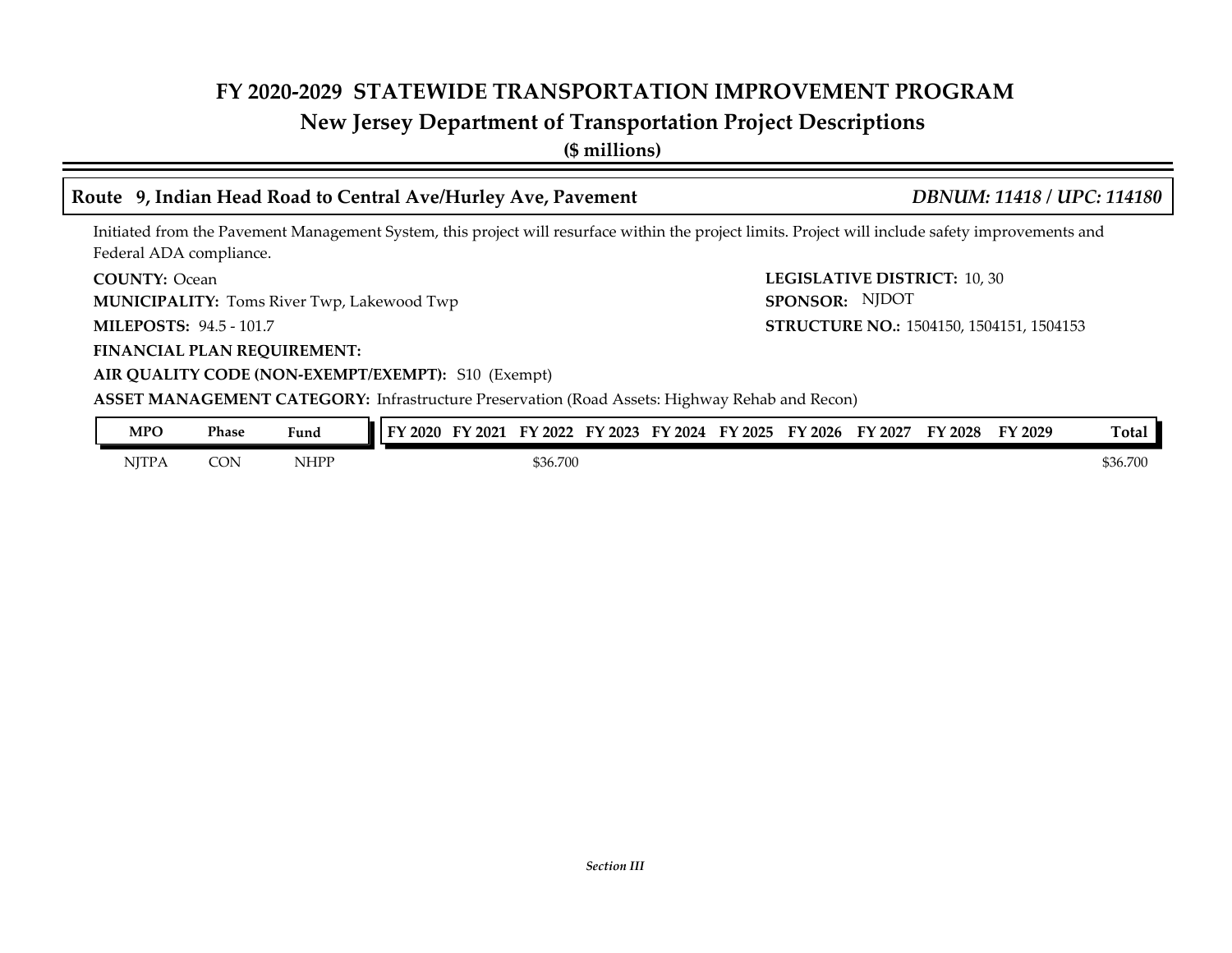# **New Jersey Department of Transportation Project Descriptions**

**(\$ millions)**

### **Route 9, Indian Head Road to Central Ave/Hurley Ave, Pavement** *DBNUM: 11418 / UPC: 114180*

Initiated from the Pavement Management System, this project will resurface within the project limits. Project will include safety improvements and Federal ADA compliance.

**COUNTY:** Ocean

**MUNICIPALITY:** Toms River Twp, Lakewood Twp

**MILEPOSTS: STRUCTURE NO.:** 94.5 - 101.7

**LEGISLATIVE DISTRICT:** 10, 30 **SPONSOR:** NJDOT STRUCTURE NO.: 1504150, 1504151, 1504153

**FINANCIAL PLAN REQUIREMENT:**

#### **AIR QUALITY CODE (NON-EXEMPT/EXEMPT):** S10 (Exempt)

**ASSET MANAGEMENT CATEGORY:** Infrastructure Preservation (Road Assets: Highway Rehab and Recon)

| MPO   | Phase      | Fund | $\degree$ 2020<br>$T_{\rm N}$ | FY 2021 | FY 2022  | FY 2023 | FY 2024 | FY 2025 | FY 2026 | FY 2027 | FY 2028 | <b>FY 2029</b> | Total    |
|-------|------------|------|-------------------------------|---------|----------|---------|---------|---------|---------|---------|---------|----------------|----------|
| NJTPA | <b>CON</b> | NHPF |                               |         | \$36.700 |         |         |         |         |         |         |                | \$36.700 |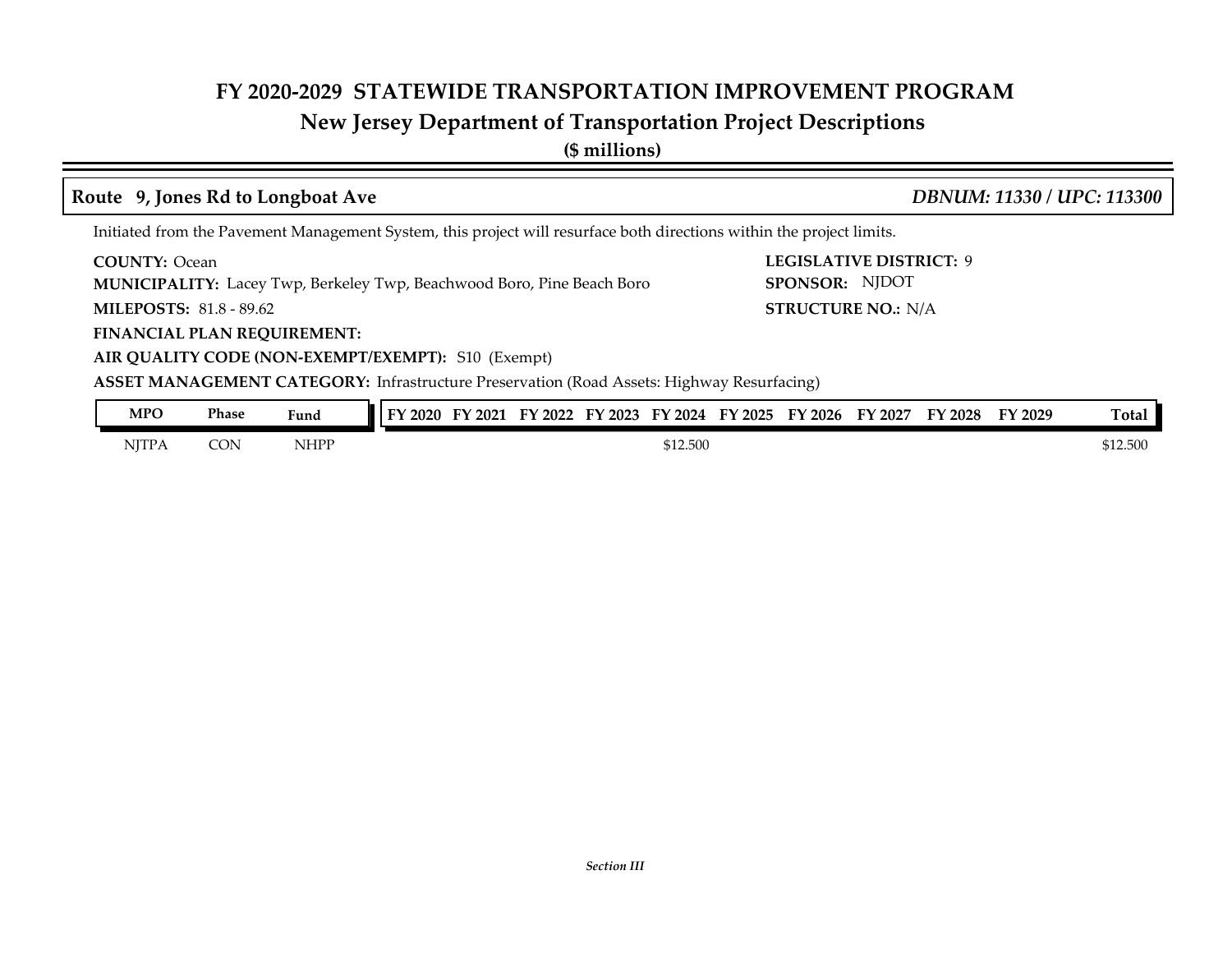# **New Jersey Department of Transportation Project Descriptions**

**(\$ millions)**

# **Route 9, Jones Rd to Longboat Ave** *DBNUM: 11330 / UPC: 113300*

**LEGISLATIVE DISTRICT:** 9

**SPONSOR:** NJDOT

**STRUCTURE NO.: N/A** 

Initiated from the Pavement Management System, this project will resurface both directions within the project limits.

**COUNTY:** Ocean

**MUNICIPALITY:** Lacey Twp, Berkeley Twp, Beachwood Boro, Pine Beach Boro

**MILEPOSTS: STRUCTURE NO.:** 81.8 - 89.62

**FINANCIAL PLAN REQUIREMENT:**

**AIR QUALITY CODE (NON-EXEMPT/EXEMPT):** S10 (Exempt)

**ASSET MANAGEMENT CATEGORY:** Infrastructure Preservation (Road Assets: Highway Resurfacing)

| <b>MPO</b>   | Phase     | Fund | 12020 | 2021<br>TJ. | ПV<br>2022 | 2023<br>. . | FV<br>2024 | $\mathbf{r}$<br>2025 | FY 2026 | FY 2027 | <b>FY 2028</b> | FY 2029 | <b>Total</b> |
|--------------|-----------|------|-------|-------------|------------|-------------|------------|----------------------|---------|---------|----------------|---------|--------------|
| <b>NJTPA</b> | CON<br>ںب | NHPP |       | \$12.500    |            |             |            |                      |         |         |                |         | \$12.500     |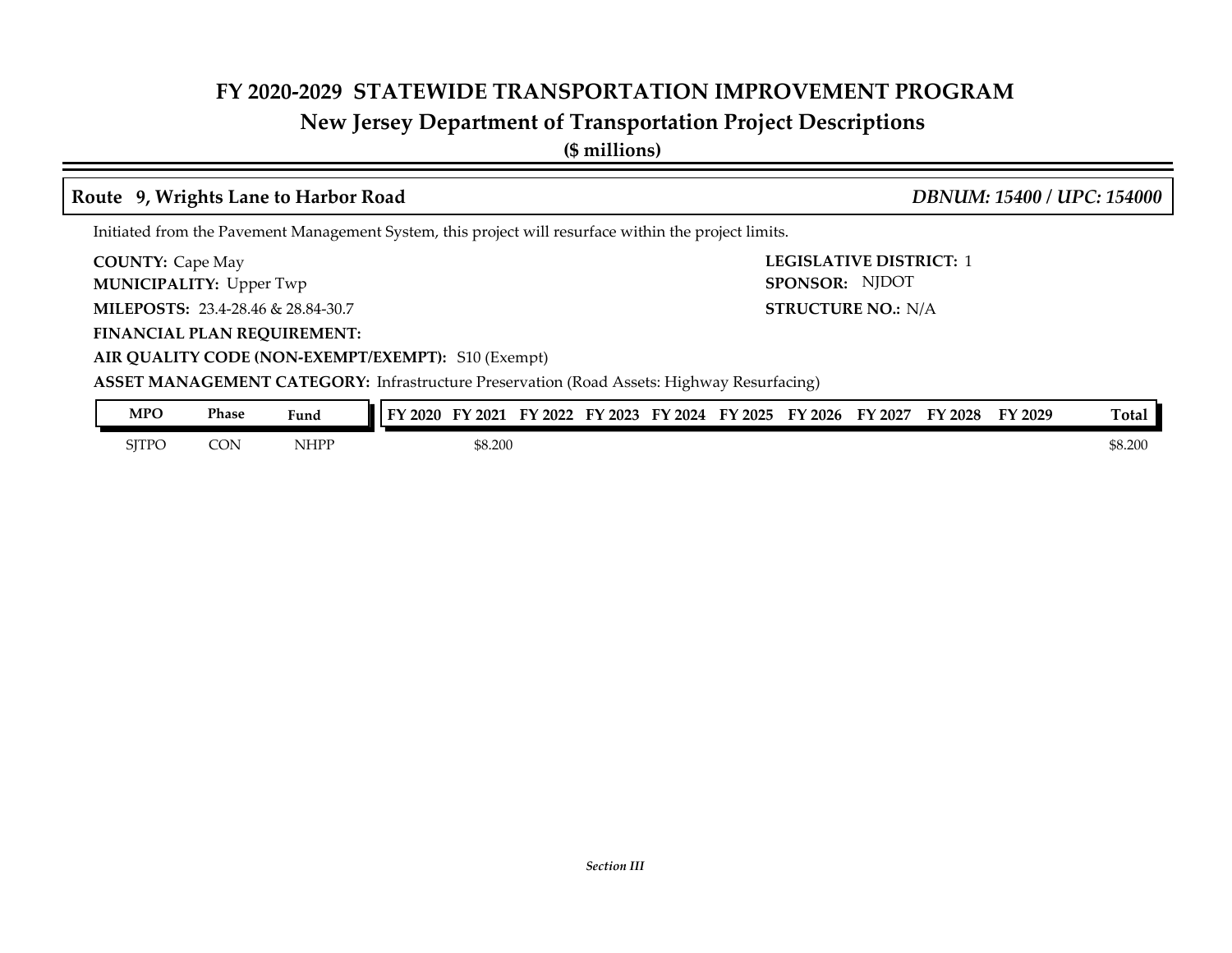# **New Jersey Department of Transportation Project Descriptions**

**(\$ millions)**

#### **Route 9, Wrights Lane to Harbor Road** *DBNUM: 15400 / UPC: 154000*

Initiated from the Pavement Management System, this project will resurface within the project limits.

**COUNTY:** Cape May

**MUNICIPALITY:** Upper Twp

**MILEPOSTS: STRUCTURE NO.:** 23.4-28.46 & 28.84-30.7

**FINANCIAL PLAN REQUIREMENT:**

**SPONSOR:** NJDOT **STRUCTURE NO.: N/A** 

**LEGISLATIVE DISTRICT:** 1

**AIR QUALITY CODE (NON-EXEMPT/EXEMPT):** S10 (Exempt)

**ASSET MANAGEMENT CATEGORY:** Infrastructure Preservation (Road Assets: Highway Resurfacing)

| <b>MPO</b> | Phase | Fund | 2020<br>ТV | ' 2021  | 2022<br>FУ | FY 2023 | FY 2024 | FY<br>12025 | FY 2026 | FY 2027 | FY 2028 | FY 2029 | m.<br>[otal     |
|------------|-------|------|------------|---------|------------|---------|---------|-------------|---------|---------|---------|---------|-----------------|
| SJTPO      | CON   | NHPP |            | \$8.200 |            |         |         |             |         |         |         |         | 20 nn<br>DO.∠UU |